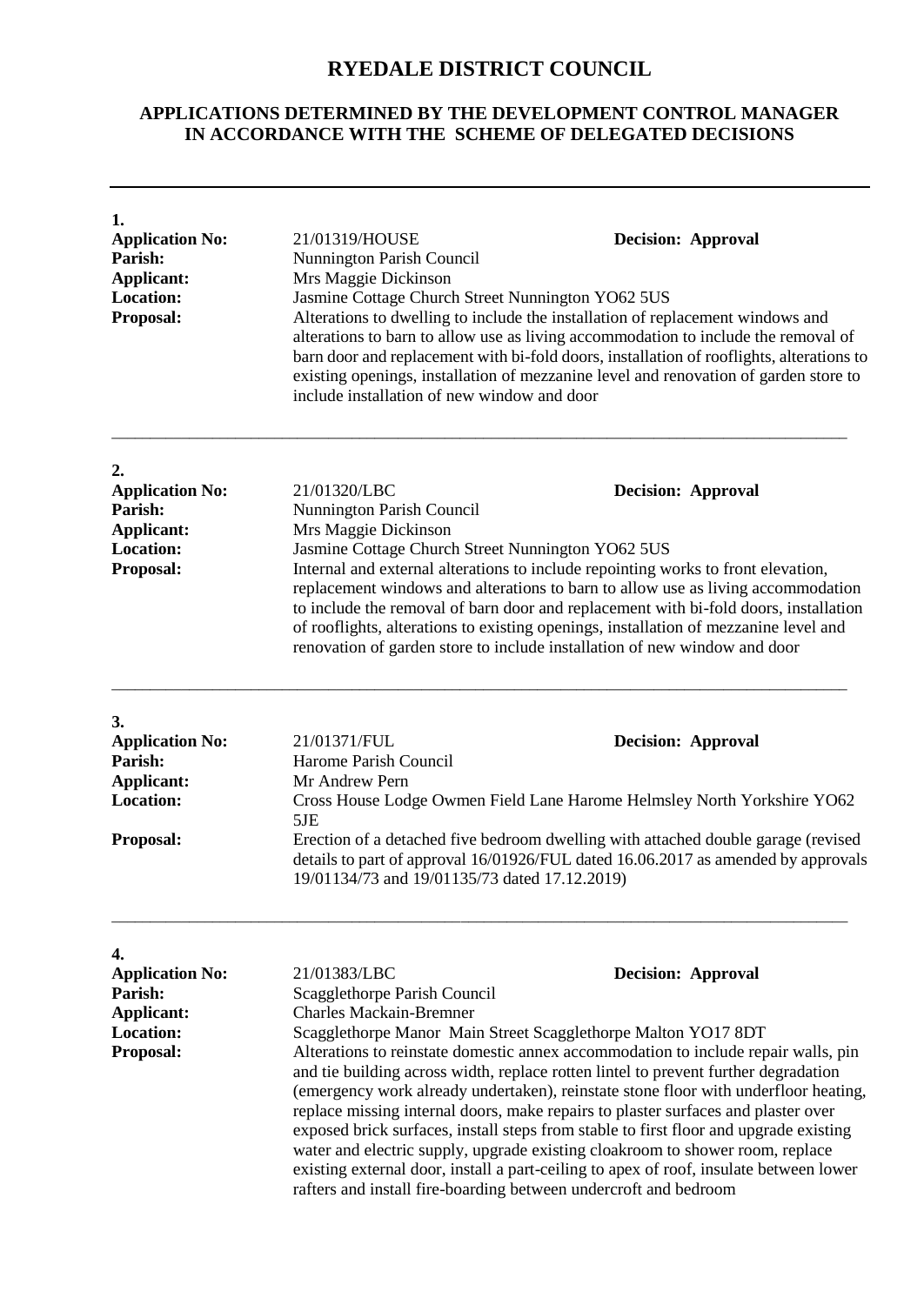## **RYEDALE DISTRICT COUNCIL**

## **APPLICATIONS DETERMINED BY THE DEVELOPMENT CONTROL MANAGER IN ACCORDANCE WITH THE SCHEME OF DELEGATED DECISIONS**

| 1.<br><b>Application No:</b><br>Parish:<br>Applicant:<br><b>Location:</b><br>Proposal: | 21/01319/HOUSE<br><b>Decision: Approval</b><br>Nunnington Parish Council<br>Mrs Maggie Dickinson<br>Jasmine Cottage Church Street Nunnington YO62 5US<br>Alterations to dwelling to include the installation of replacement windows and<br>alterations to barn to allow use as living accommodation to include the removal of<br>barn door and replacement with bi-fold doors, installation of rooflights, alterations to<br>existing openings, installation of mezzanine level and renovation of garden store to<br>include installation of new window and door<br>21/01320/LBC<br><b>Decision: Approval</b><br>Nunnington Parish Council<br>Mrs Maggie Dickinson<br>Jasmine Cottage Church Street Nunnington YO62 5US<br>Internal and external alterations to include repointing works to front elevation,<br>replacement windows and alterations to barn to allow use as living accommodation<br>to include the removal of barn door and replacement with bi-fold doors, installation<br>of rooflights, alterations to existing openings, installation of mezzanine level and<br>renovation of garden store to include installation of new window and door |                                                                                                                                                                                                                                                                                                                                                                                                                                                                                                                                                              |
|----------------------------------------------------------------------------------------|---------------------------------------------------------------------------------------------------------------------------------------------------------------------------------------------------------------------------------------------------------------------------------------------------------------------------------------------------------------------------------------------------------------------------------------------------------------------------------------------------------------------------------------------------------------------------------------------------------------------------------------------------------------------------------------------------------------------------------------------------------------------------------------------------------------------------------------------------------------------------------------------------------------------------------------------------------------------------------------------------------------------------------------------------------------------------------------------------------------------------------------------------------------|--------------------------------------------------------------------------------------------------------------------------------------------------------------------------------------------------------------------------------------------------------------------------------------------------------------------------------------------------------------------------------------------------------------------------------------------------------------------------------------------------------------------------------------------------------------|
| 2.<br><b>Application No:</b><br>Parish:<br>Applicant:<br><b>Location:</b><br>Proposal: |                                                                                                                                                                                                                                                                                                                                                                                                                                                                                                                                                                                                                                                                                                                                                                                                                                                                                                                                                                                                                                                                                                                                                               |                                                                                                                                                                                                                                                                                                                                                                                                                                                                                                                                                              |
| 3.<br><b>Application No:</b><br>Parish:<br>Applicant:<br><b>Location:</b><br>Proposal: | 21/01371/FUL<br>Harome Parish Council<br>Mr Andrew Pern<br>5JE<br>19/01134/73 and 19/01135/73 dated 17.12.2019)                                                                                                                                                                                                                                                                                                                                                                                                                                                                                                                                                                                                                                                                                                                                                                                                                                                                                                                                                                                                                                               | <b>Decision: Approval</b><br>Cross House Lodge Owmen Field Lane Harome Helmsley North Yorkshire YO62<br>Erection of a detached five bedroom dwelling with attached double garage (revised<br>details to part of approval 16/01926/FUL dated 16.06.2017 as amended by approvals                                                                                                                                                                                                                                                                               |
| 4.<br><b>Application No:</b><br>Parish:<br>Applicant:<br><b>Location:</b><br>Proposal: | 21/01383/LBC<br>Scagglethorpe Parish Council<br><b>Charles Mackain-Bremner</b><br>Scagglethorpe Manor Main Street Scagglethorpe Malton YO17 8DT                                                                                                                                                                                                                                                                                                                                                                                                                                                                                                                                                                                                                                                                                                                                                                                                                                                                                                                                                                                                               | <b>Decision: Approval</b><br>Alterations to reinstate domestic annex accommodation to include repair walls, pin<br>and tie building across width, replace rotten lintel to prevent further degradation<br>(emergency work already undertaken), reinstate stone floor with underfloor heating,<br>replace missing internal doors, make repairs to plaster surfaces and plaster over<br>exposed brick surfaces, install steps from stable to first floor and upgrade existing<br>water and electric supply, upgrade existing cloakroom to shower room, replace |

existing external door, install a part-ceiling to apex of roof, insulate between lower

rafters and install fire-boarding between undercroft and bedroom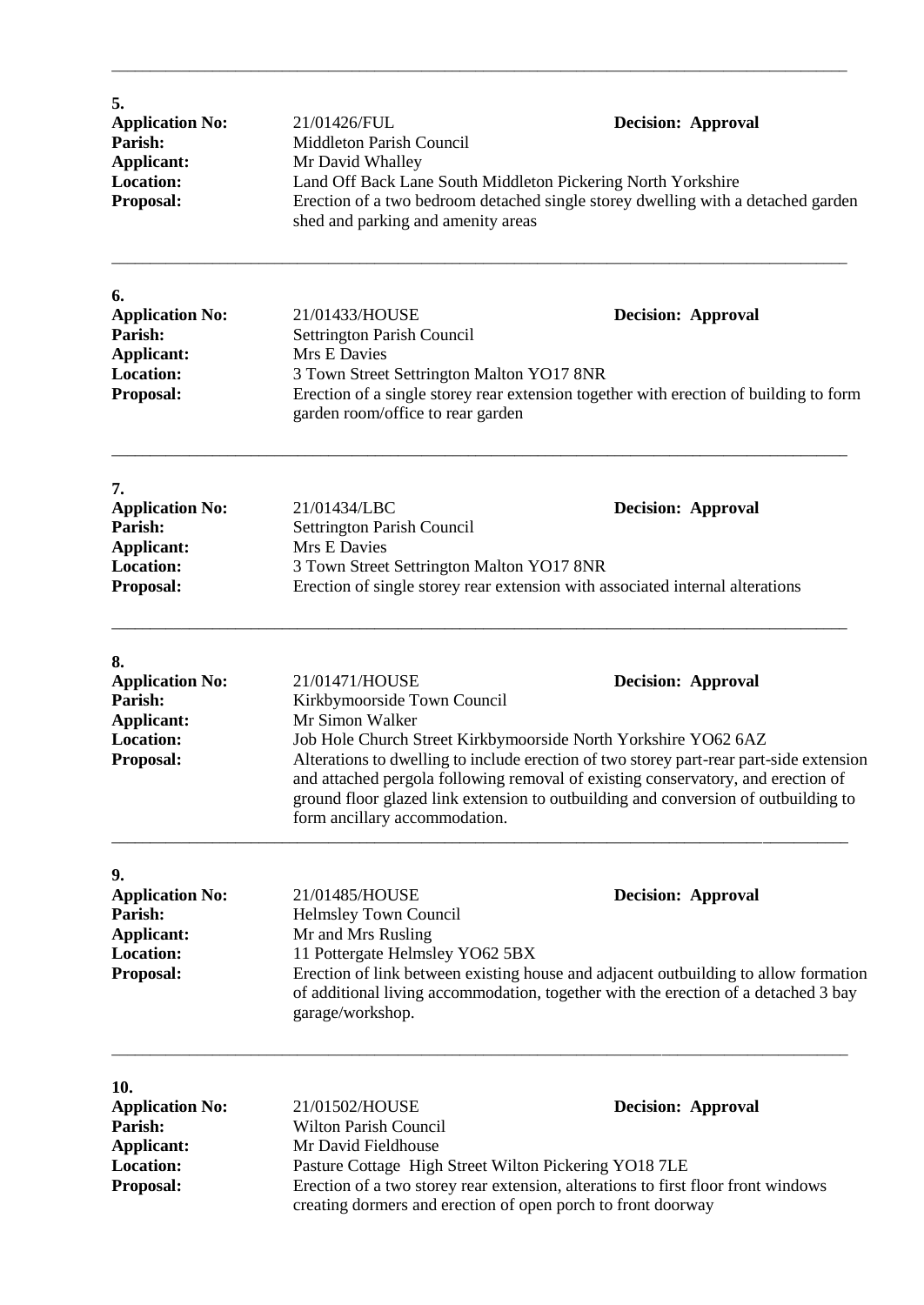| 5.<br><b>Application No:</b><br>Parish:<br><b>Applicant:</b><br><b>Location:</b><br>Proposal: | 21/01426/FUL<br><b>Middleton Parish Council</b><br>Mr David Whalley<br>Land Off Back Lane South Middleton Pickering North Yorkshire<br>shed and parking and amenity areas                                                                        | <b>Decision: Approval</b><br>Erection of a two bedroom detached single storey dwelling with a detached garden                                                                                                                                                                                                                                                    |
|-----------------------------------------------------------------------------------------------|--------------------------------------------------------------------------------------------------------------------------------------------------------------------------------------------------------------------------------------------------|------------------------------------------------------------------------------------------------------------------------------------------------------------------------------------------------------------------------------------------------------------------------------------------------------------------------------------------------------------------|
| 6.<br><b>Application No:</b><br>Parish:<br>Applicant:<br><b>Location:</b><br>Proposal:        | 21/01433/HOUSE<br><b>Settrington Parish Council</b><br>Mrs E Davies<br>3 Town Street Settrington Malton YO17 8NR<br>garden room/office to rear garden                                                                                            | <b>Decision: Approval</b><br>Erection of a single storey rear extension together with erection of building to form                                                                                                                                                                                                                                               |
| 7.<br><b>Application No:</b><br>Parish:<br><b>Applicant:</b><br><b>Location:</b><br>Proposal: | 21/01434/LBC<br><b>Settrington Parish Council</b><br>Mrs E Davies<br>3 Town Street Settrington Malton YO17 8NR                                                                                                                                   | <b>Decision: Approval</b><br>Erection of single storey rear extension with associated internal alterations                                                                                                                                                                                                                                                       |
| 8.<br><b>Application No:</b><br>Parish:<br><b>Applicant:</b><br><b>Location:</b><br>Proposal: | 21/01471/HOUSE<br>Kirkbymoorside Town Council<br>Mr Simon Walker<br>form ancillary accommodation.                                                                                                                                                | <b>Decision: Approval</b><br>Job Hole Church Street Kirkbymoorside North Yorkshire YO62 6AZ<br>Alterations to dwelling to include erection of two storey part-rear part-side extension<br>and attached pergola following removal of existing conservatory, and erection of<br>ground floor glazed link extension to outbuilding and conversion of outbuilding to |
| 9.<br><b>Application No:</b><br>Parish:<br><b>Applicant:</b><br><b>Location:</b><br>Proposal: | 21/01485/HOUSE<br>Helmsley Town Council<br>Mr and Mrs Rusling<br>11 Pottergate Helmsley YO62 5BX<br>garage/workshop.                                                                                                                             | <b>Decision: Approval</b><br>Erection of link between existing house and adjacent outbuilding to allow formation<br>of additional living accommodation, together with the erection of a detached 3 bay                                                                                                                                                           |
| 10.<br><b>Application No:</b><br>Parish:<br><b>Applicant:</b><br>Location:<br>Proposal:       | 21/01502/HOUSE<br><b>Decision: Approval</b><br><b>Wilton Parish Council</b><br>Mr David Fieldhouse<br>Pasture Cottage High Street Wilton Pickering YO18 7LE<br>Erection of a two storey rear extension, alterations to first floor front windows |                                                                                                                                                                                                                                                                                                                                                                  |

creating dormers and erection of open porch to front doorway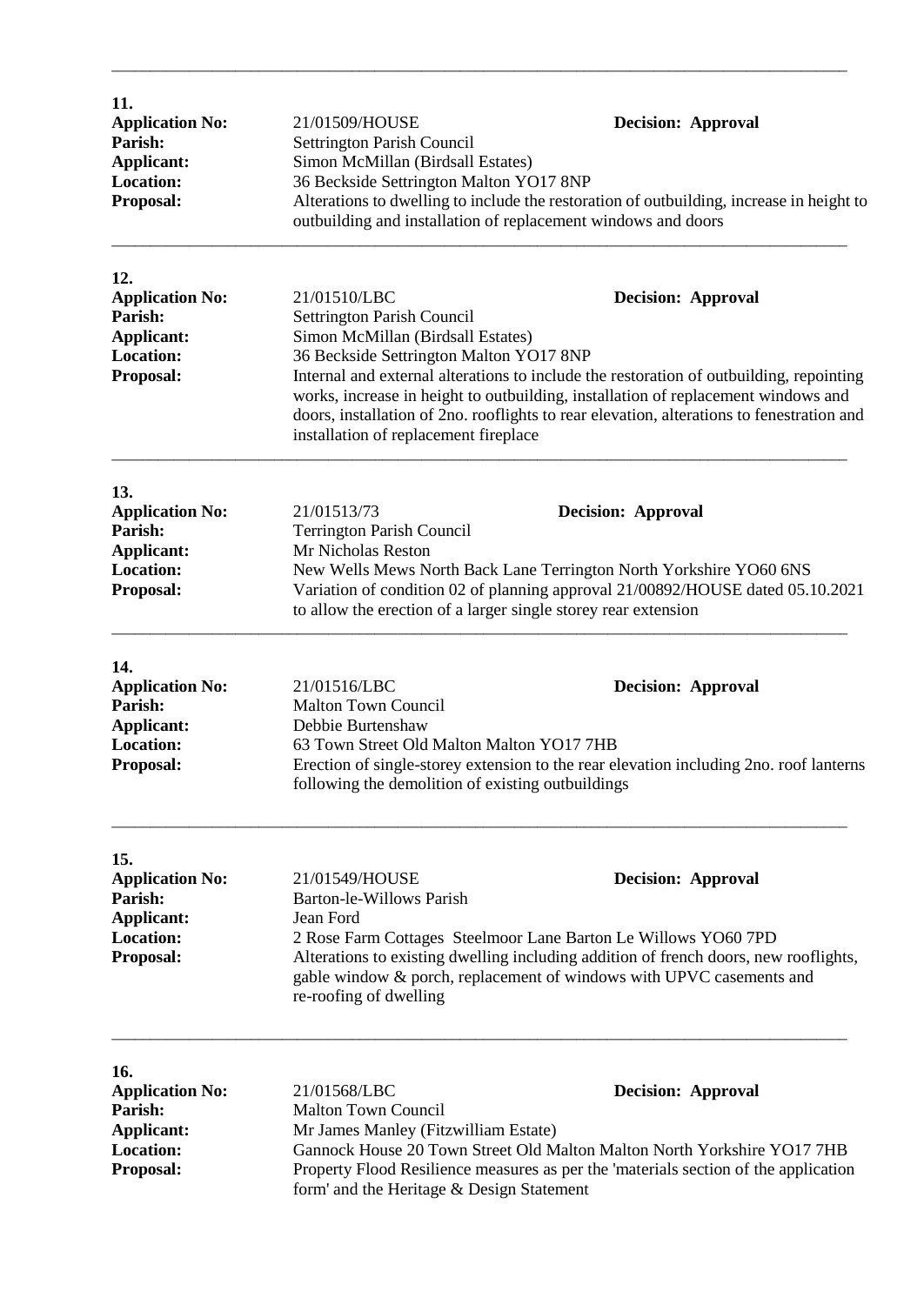| 11.<br><b>Application No:</b><br>Parish:<br><b>Applicant:</b><br><b>Location:</b><br>Proposal: | 21/01509/HOUSE<br>Settrington Parish Council<br>Simon McMillan (Birdsall Estates)<br>36 Beckside Settrington Malton YO17 8NP                                                                                                                                                                                                   | <b>Decision: Approval</b><br>Alterations to dwelling to include the restoration of outbuilding, increase in height to<br>outbuilding and installation of replacement windows and doors                                                                                                                 |
|------------------------------------------------------------------------------------------------|--------------------------------------------------------------------------------------------------------------------------------------------------------------------------------------------------------------------------------------------------------------------------------------------------------------------------------|--------------------------------------------------------------------------------------------------------------------------------------------------------------------------------------------------------------------------------------------------------------------------------------------------------|
| 12.<br><b>Application No:</b><br>Parish:<br><b>Applicant:</b><br><b>Location:</b><br>Proposal: | 21/01510/LBC<br>Settrington Parish Council<br>Simon McMillan (Birdsall Estates)<br>36 Beckside Settrington Malton YO17 8NP<br>installation of replacement fireplace                                                                                                                                                            | <b>Decision: Approval</b><br>Internal and external alterations to include the restoration of outbuilding, repointing<br>works, increase in height to outbuilding, installation of replacement windows and<br>doors, installation of 2no. rooflights to rear elevation, alterations to fenestration and |
| 13.<br><b>Application No:</b><br>Parish:<br>Applicant:<br><b>Location:</b><br>Proposal:        | 21/01513/73<br><b>Decision: Approval</b><br><b>Terrington Parish Council</b><br>Mr Nicholas Reston<br>New Wells Mews North Back Lane Terrington North Yorkshire YO60 6NS<br>Variation of condition 02 of planning approval 21/00892/HOUSE dated 05.10.2021<br>to allow the erection of a larger single storey rear extension   |                                                                                                                                                                                                                                                                                                        |
| 14.<br><b>Application No:</b><br>Parish:<br><b>Applicant:</b><br><b>Location:</b><br>Proposal: | 21/01516/LBC<br><b>Malton Town Council</b><br>Debbie Burtenshaw<br>63 Town Street Old Malton Malton YO17 7HB<br>following the demolition of existing outbuildings                                                                                                                                                              | <b>Decision: Approval</b><br>Erection of single-storey extension to the rear elevation including 2no. roof lanterns                                                                                                                                                                                    |
| 15.<br><b>Application No:</b><br>Parish:<br>Applicant:<br><b>Location:</b><br>Proposal:        | 21/01549/HOUSE<br>Barton-le-Willows Parish<br>Jean Ford<br>re-roofing of dwelling                                                                                                                                                                                                                                              | <b>Decision: Approval</b><br>2 Rose Farm Cottages Steelmoor Lane Barton Le Willows YO60 7PD<br>Alterations to existing dwelling including addition of french doors, new rooflights,<br>gable window & porch, replacement of windows with UPVC casements and                                            |
| 16.<br><b>Application No:</b><br>Parish:<br><b>Applicant:</b><br><b>Location:</b><br>Proposal: | 21/01568/LBC<br><b>Decision: Approval</b><br><b>Malton Town Council</b><br>Mr James Manley (Fitzwilliam Estate)<br>Gannock House 20 Town Street Old Malton Malton North Yorkshire YO17 7HB<br>Property Flood Resilience measures as per the 'materials section of the application<br>form' and the Heritage & Design Statement |                                                                                                                                                                                                                                                                                                        |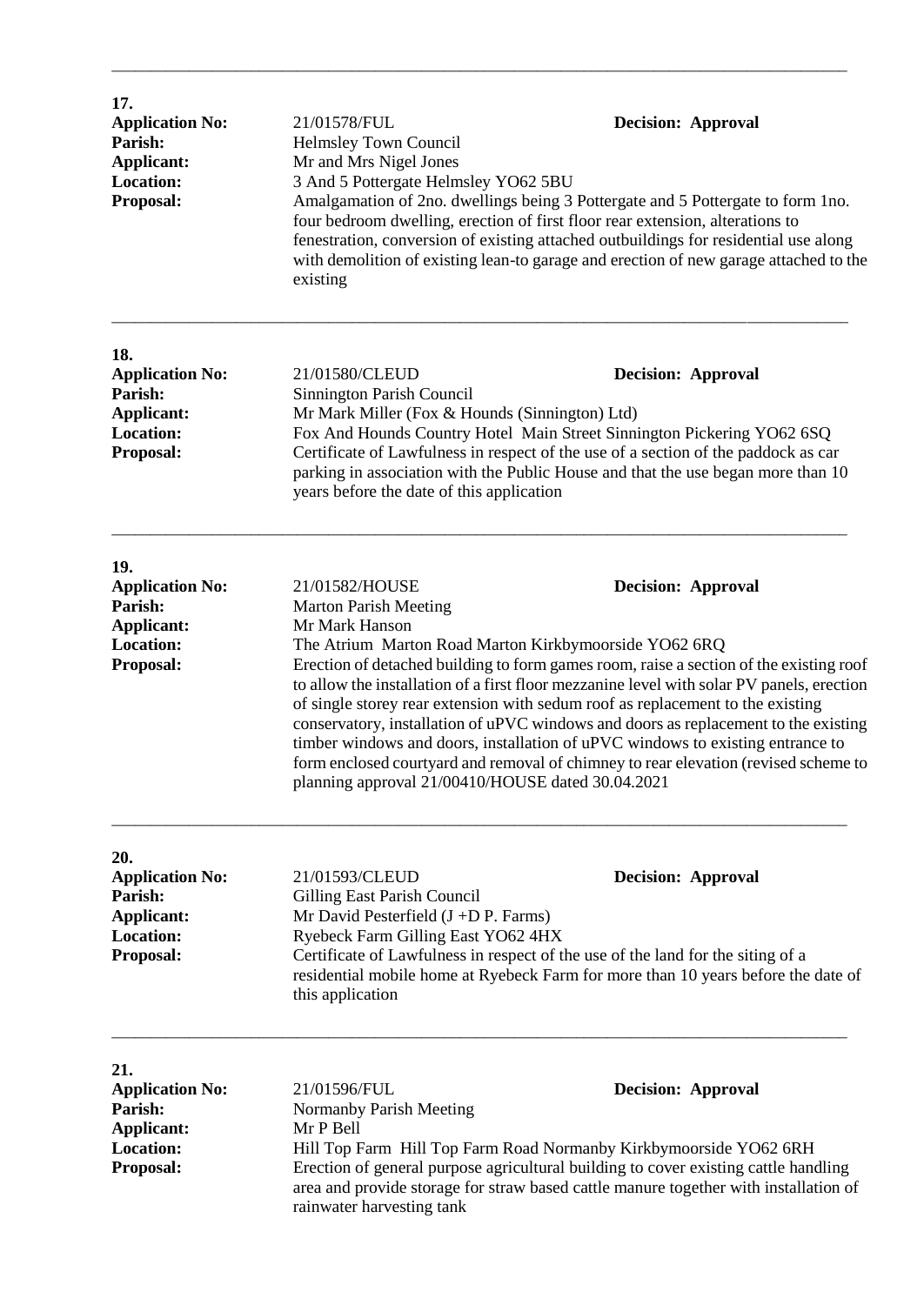| 17.<br><b>Application No:</b><br>Parish:<br><b>Applicant:</b><br><b>Location:</b><br>Proposal: | 21/01578/FUL<br>Helmsley Town Council<br>Mr and Mrs Nigel Jones<br>3 And 5 Pottergate Helmsley YO62 5BU<br>existing                                  | <b>Decision: Approval</b><br>Amalgamation of 2no. dwellings being 3 Pottergate and 5 Pottergate to form 1no.<br>four bedroom dwelling, erection of first floor rear extension, alterations to<br>fenestration, conversion of existing attached outbuildings for residential use along<br>with demolition of existing lean-to garage and erection of new garage attached to the                                                                                                                                                                                                                                              |
|------------------------------------------------------------------------------------------------|------------------------------------------------------------------------------------------------------------------------------------------------------|-----------------------------------------------------------------------------------------------------------------------------------------------------------------------------------------------------------------------------------------------------------------------------------------------------------------------------------------------------------------------------------------------------------------------------------------------------------------------------------------------------------------------------------------------------------------------------------------------------------------------------|
| 18.<br><b>Application No:</b><br>Parish:<br>Applicant:<br><b>Location:</b><br>Proposal:        | 21/01580/CLEUD<br>Sinnington Parish Council<br>Mr Mark Miller (Fox & Hounds (Sinnington) Ltd)<br>years before the date of this application           | <b>Decision: Approval</b><br>Fox And Hounds Country Hotel Main Street Sinnington Pickering YO62 6SQ<br>Certificate of Lawfulness in respect of the use of a section of the paddock as car<br>parking in association with the Public House and that the use began more than 10                                                                                                                                                                                                                                                                                                                                               |
| 19.<br><b>Application No:</b><br>Parish:<br>Applicant:<br><b>Location:</b><br>Proposal:        | 21/01582/HOUSE<br><b>Marton Parish Meeting</b><br>Mr Mark Hanson<br>planning approval 21/00410/HOUSE dated 30.04.2021                                | <b>Decision: Approval</b><br>The Atrium Marton Road Marton Kirkbymoorside YO62 6RQ<br>Erection of detached building to form games room, raise a section of the existing roof<br>to allow the installation of a first floor mezzanine level with solar PV panels, erection<br>of single storey rear extension with sedum roof as replacement to the existing<br>conservatory, installation of uPVC windows and doors as replacement to the existing<br>timber windows and doors, installation of uPVC windows to existing entrance to<br>form enclosed courtyard and removal of chimney to rear elevation (revised scheme to |
| 20.<br><b>Application No:</b><br>Parish:<br><b>Applicant:</b><br><b>Location:</b><br>Proposal: | 21/01593/CLEUD<br>Gilling East Parish Council<br>Mr David Pesterfield $(J + D P)$ . Farms)<br>Ryebeck Farm Gilling East YO62 4HX<br>this application | <b>Decision: Approval</b><br>Certificate of Lawfulness in respect of the use of the land for the siting of a<br>residential mobile home at Ryebeck Farm for more than 10 years before the date of                                                                                                                                                                                                                                                                                                                                                                                                                           |
| 21.<br><b>Application No:</b><br>Parish:<br>Applicant:<br><b>Location:</b><br>Proposal:        | 21/01596/FUL<br>Normanby Parish Meeting<br>Mr P Bell<br>rainwater harvesting tank                                                                    | <b>Decision: Approval</b><br>Hill Top Farm Hill Top Farm Road Normanby Kirkbymoorside YO62 6RH<br>Erection of general purpose agricultural building to cover existing cattle handling<br>area and provide storage for straw based cattle manure together with installation of                                                                                                                                                                                                                                                                                                                                               |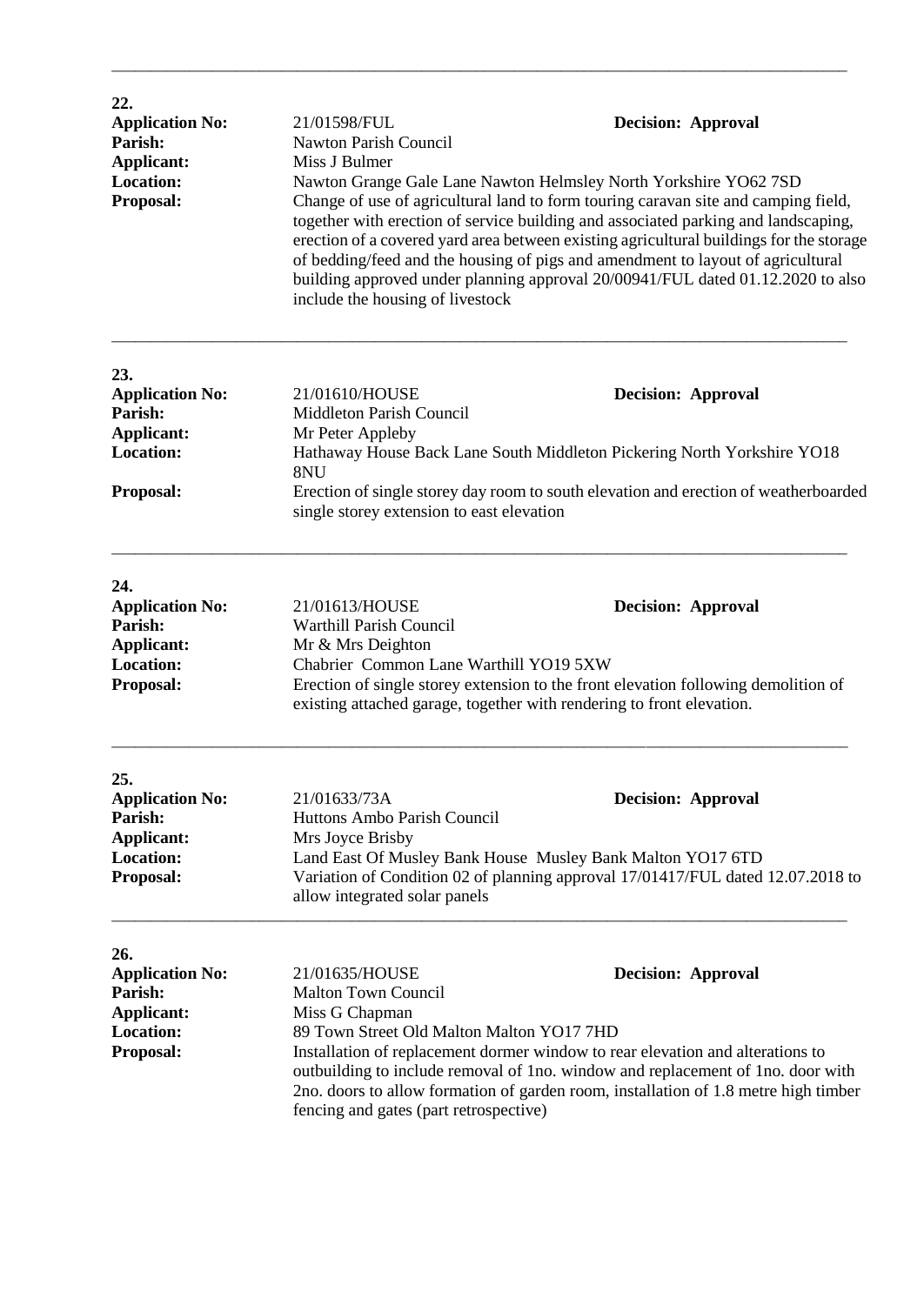| 22.<br><b>Application No:</b><br>Parish:<br><b>Applicant:</b><br><b>Location:</b><br>Proposal: | <b>Decision: Approval</b><br>21/01598/FUL<br>Nawton Parish Council<br>Miss J Bulmer<br>Nawton Grange Gale Lane Nawton Helmsley North Yorkshire YO62 7SD<br>Change of use of agricultural land to form touring caravan site and camping field,<br>together with erection of service building and associated parking and landscaping,<br>erection of a covered yard area between existing agricultural buildings for the storage<br>of bedding/feed and the housing of pigs and amendment to layout of agricultural<br>building approved under planning approval 20/00941/FUL dated 01.12.2020 to also<br>include the housing of livestock |                                                                                                                                                                                                                                                                                       |
|------------------------------------------------------------------------------------------------|------------------------------------------------------------------------------------------------------------------------------------------------------------------------------------------------------------------------------------------------------------------------------------------------------------------------------------------------------------------------------------------------------------------------------------------------------------------------------------------------------------------------------------------------------------------------------------------------------------------------------------------|---------------------------------------------------------------------------------------------------------------------------------------------------------------------------------------------------------------------------------------------------------------------------------------|
| 23.<br><b>Application No:</b><br>Parish:<br><b>Applicant:</b><br><b>Location:</b>              | 21/01610/HOUSE<br>Middleton Parish Council<br>Mr Peter Appleby                                                                                                                                                                                                                                                                                                                                                                                                                                                                                                                                                                           | <b>Decision: Approval</b><br>Hathaway House Back Lane South Middleton Pickering North Yorkshire YO18                                                                                                                                                                                  |
| Proposal:                                                                                      | 8NU<br>Erection of single storey day room to south elevation and erection of weatherboarded<br>single storey extension to east elevation                                                                                                                                                                                                                                                                                                                                                                                                                                                                                                 |                                                                                                                                                                                                                                                                                       |
| 24.<br><b>Application No:</b><br>Parish:<br><b>Applicant:</b><br><b>Location:</b><br>Proposal: | 21/01613/HOUSE<br><b>Warthill Parish Council</b><br>Mr & Mrs Deighton<br>Chabrier Common Lane Warthill YO19 5XW<br>existing attached garage, together with rendering to front elevation.                                                                                                                                                                                                                                                                                                                                                                                                                                                 | <b>Decision: Approval</b><br>Erection of single storey extension to the front elevation following demolition of                                                                                                                                                                       |
| 25.<br><b>Application No:</b><br>Parish:<br><b>Applicant:</b><br><b>Location:</b><br>Proposal: | 21/01633/73A<br>Huttons Ambo Parish Council<br>Mrs Joyce Brisby<br>Land East Of Musley Bank House Musley Bank Malton YO17 6TD<br>allow integrated solar panels                                                                                                                                                                                                                                                                                                                                                                                                                                                                           | <b>Decision: Approval</b><br>Variation of Condition 02 of planning approval 17/01417/FUL dated 12.07.2018 to                                                                                                                                                                          |
| 26.<br><b>Application No:</b><br>Parish:<br><b>Applicant:</b><br><b>Location:</b><br>Proposal: | 21/01635/HOUSE<br><b>Malton Town Council</b><br>Miss G Chapman<br>89 Town Street Old Malton Malton YO17 7HD<br>fencing and gates (part retrospective)                                                                                                                                                                                                                                                                                                                                                                                                                                                                                    | <b>Decision: Approval</b><br>Installation of replacement dormer window to rear elevation and alterations to<br>outbuilding to include removal of 1no. window and replacement of 1no. door with<br>2no. doors to allow formation of garden room, installation of 1.8 metre high timber |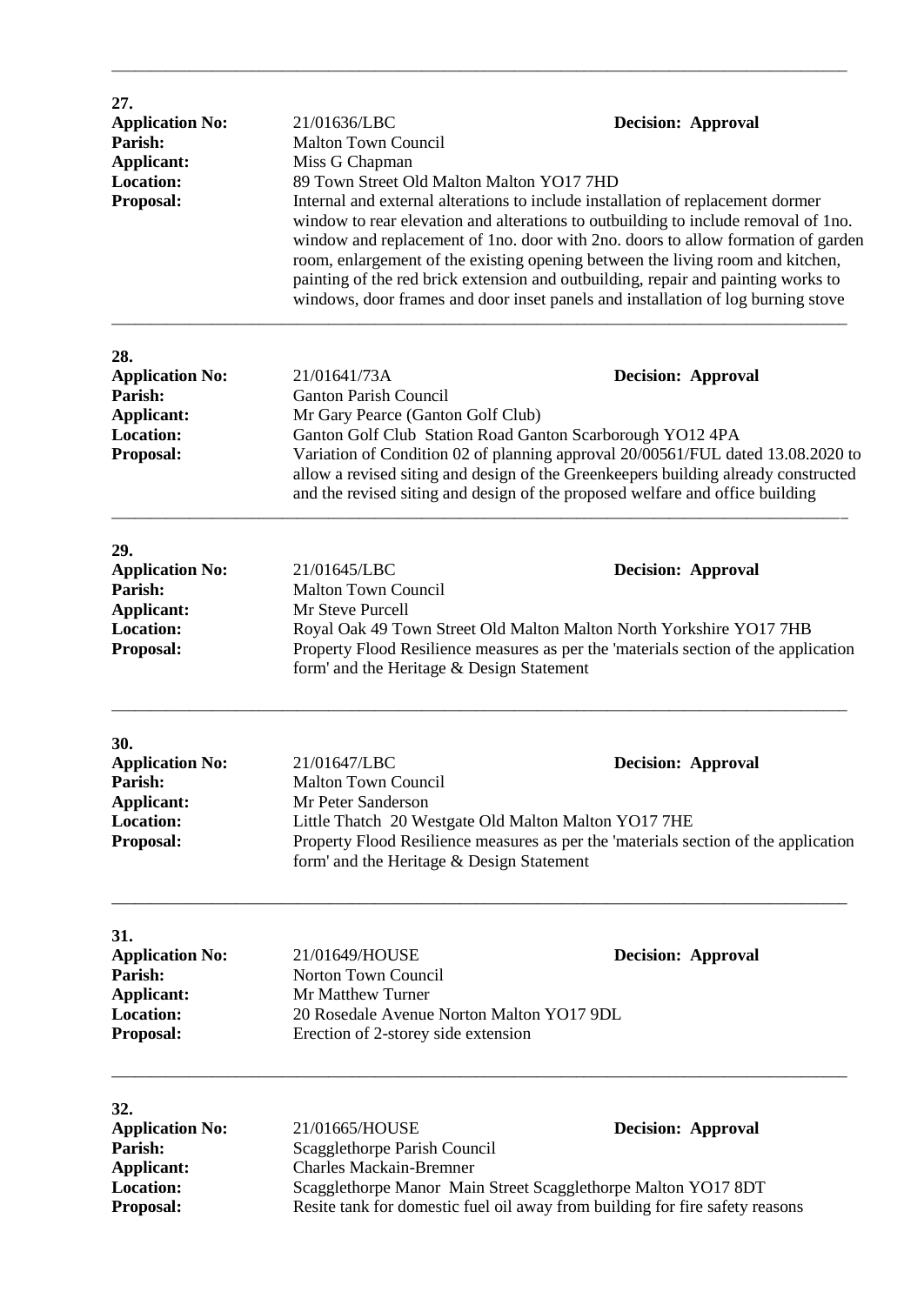| 27.<br><b>Application No:</b><br>Parish:<br>Applicant:<br><b>Location:</b><br>Proposal:               | 21/01636/LBC<br><b>Decision: Approval</b><br><b>Malton Town Council</b><br>Miss G Chapman<br>89 Town Street Old Malton Malton YO17 7HD<br>Internal and external alterations to include installation of replacement dormer<br>window to rear elevation and alterations to outbuilding to include removal of 1no.<br>window and replacement of 1no. door with 2no. doors to allow formation of garden<br>room, enlargement of the existing opening between the living room and kitchen,<br>painting of the red brick extension and outbuilding, repair and painting works to<br>windows, door frames and door inset panels and installation of log burning stove |  |                           |
|-------------------------------------------------------------------------------------------------------|----------------------------------------------------------------------------------------------------------------------------------------------------------------------------------------------------------------------------------------------------------------------------------------------------------------------------------------------------------------------------------------------------------------------------------------------------------------------------------------------------------------------------------------------------------------------------------------------------------------------------------------------------------------|--|---------------------------|
| 28.<br><b>Application No:</b><br>Parish:<br><b>Applicant:</b><br><b>Location:</b><br><b>Proposal:</b> | 21/01641/73A<br><b>Decision: Approval</b><br><b>Ganton Parish Council</b><br>Mr Gary Pearce (Ganton Golf Club)<br>Ganton Golf Club Station Road Ganton Scarborough YO12 4PA<br>Variation of Condition 02 of planning approval 20/00561/FUL dated 13.08.2020 to<br>allow a revised siting and design of the Greenkeepers building already constructed<br>and the revised siting and design of the proposed welfare and office building                                                                                                                                                                                                                          |  |                           |
| 29.<br><b>Application No:</b><br>Parish:<br><b>Applicant:</b><br><b>Location:</b><br><b>Proposal:</b> | 21/01645/LBC<br><b>Malton Town Council</b><br>Mr Steve Purcell<br>Royal Oak 49 Town Street Old Malton Malton North Yorkshire YO17 7HB<br>Property Flood Resilience measures as per the 'materials section of the application<br>form' and the Heritage & Design Statement                                                                                                                                                                                                                                                                                                                                                                                      |  | <b>Decision: Approval</b> |
| 30.<br><b>Application No:</b><br>Parish:<br><b>Applicant:</b><br><b>Location:</b><br><b>Proposal:</b> | 21/01647/LBC<br><b>Malton Town Council</b><br>Mr Peter Sanderson<br>Little Thatch 20 Westgate Old Malton Malton YO17 7HE<br>Property Flood Resilience measures as per the 'materials section of the application<br>form' and the Heritage & Design Statement                                                                                                                                                                                                                                                                                                                                                                                                   |  | <b>Decision: Approval</b> |
| 31.<br><b>Application No:</b><br>Parish:<br><b>Applicant:</b><br><b>Location:</b><br><b>Proposal:</b> | 21/01649/HOUSE<br>Norton Town Council<br>Mr Matthew Turner<br>20 Rosedale Avenue Norton Malton YO17 9DL<br>Erection of 2-storey side extension                                                                                                                                                                                                                                                                                                                                                                                                                                                                                                                 |  | <b>Decision: Approval</b> |
| 32.<br><b>Application No:</b><br>Parish:<br><b>Applicant:</b><br><b>Location:</b><br><b>Proposal:</b> | 21/01665/HOUSE<br>Scagglethorpe Parish Council<br><b>Charles Mackain-Bremner</b><br>Scagglethorpe Manor Main Street Scagglethorpe Malton YO17 8DT<br>Resite tank for domestic fuel oil away from building for fire safety reasons                                                                                                                                                                                                                                                                                                                                                                                                                              |  | <b>Decision: Approval</b> |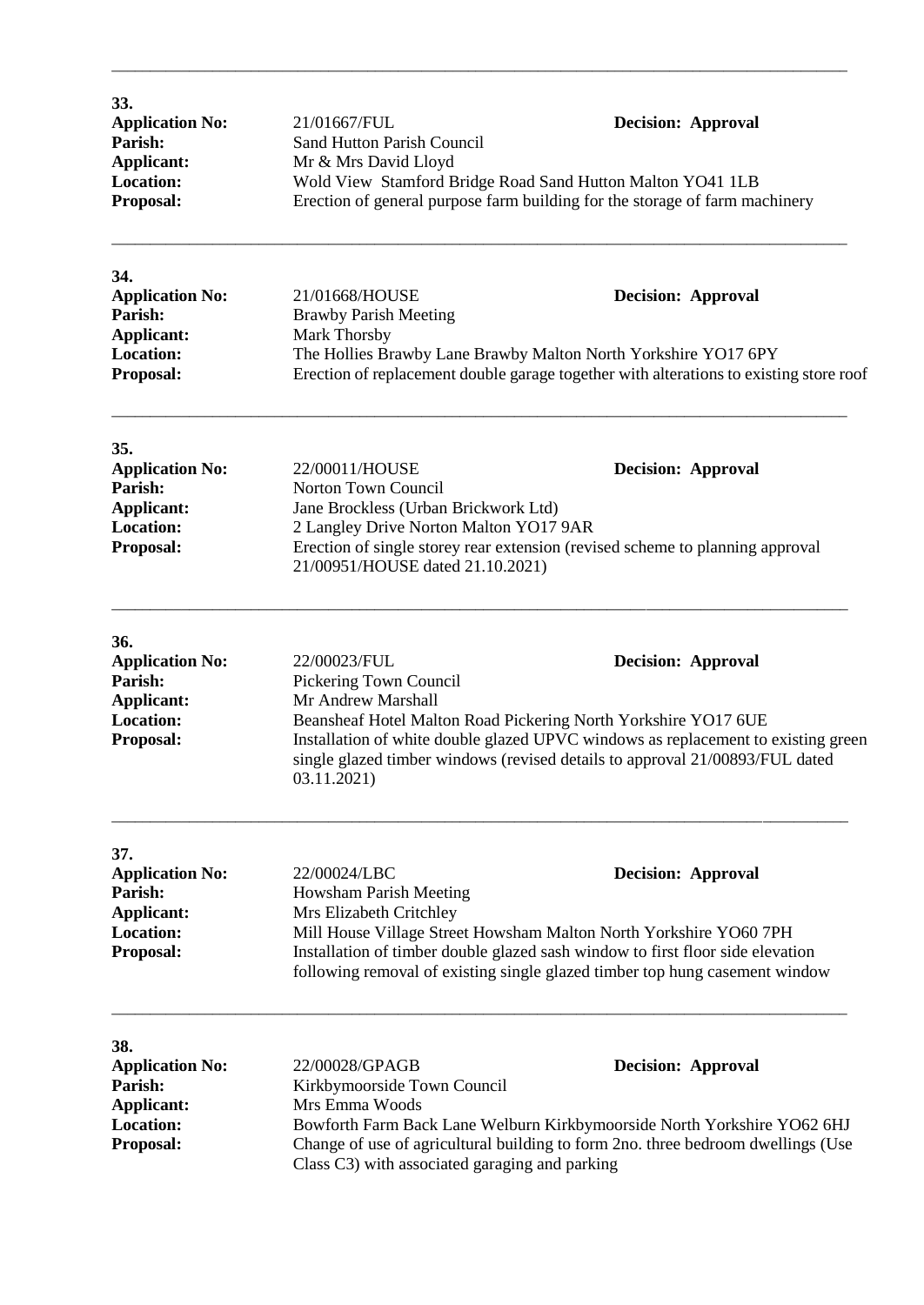| 33.<br><b>Application No:</b> | 21/01667/FUL                      | <b>Decision: Approval</b>                                                   |
|-------------------------------|-----------------------------------|-----------------------------------------------------------------------------|
| Parish:                       | <b>Sand Hutton Parish Council</b> |                                                                             |
| Applicant:                    | Mr & Mrs David Lloyd              |                                                                             |
| <b>Location:</b>              |                                   | Wold View Stamford Bridge Road Sand Hutton Malton YO41 1LB                  |
| <b>Proposal:</b>              |                                   | Erection of general purpose farm building for the storage of farm machinery |
|                               |                                   |                                                                             |
|                               |                                   |                                                                             |

| 34.                    |                                                                                        |
|------------------------|----------------------------------------------------------------------------------------|
| <b>Application No:</b> | 21/01668/HOUSE<br><b>Decision: Approval</b>                                            |
| <b>Parish:</b>         | <b>Brawby Parish Meeting</b>                                                           |
| Applicant:             | Mark Thorsby                                                                           |
| <b>Location:</b>       | The Hollies Brawby Lane Brawby Malton North Yorkshire YO17 6PY                         |
| <b>Proposal:</b>       | Erection of replacement double garage together with alterations to existing store roof |

\_\_\_\_\_\_\_\_\_\_\_\_\_\_\_\_\_\_\_\_\_\_\_\_\_\_\_\_\_\_\_\_\_\_\_\_\_\_\_\_\_\_\_\_\_\_\_\_\_\_\_\_\_\_\_\_\_\_\_\_\_\_\_\_\_\_\_\_\_\_\_\_\_\_\_\_\_\_\_\_\_\_\_\_\_\_\_\_\_\_\_\_\_\_\_

| 35.                    |                                                                                                                   |                           |
|------------------------|-------------------------------------------------------------------------------------------------------------------|---------------------------|
| <b>Application No:</b> | 22/00011/HOUSE                                                                                                    | <b>Decision: Approval</b> |
| Parish:                | Norton Town Council                                                                                               |                           |
| Applicant:             | Jane Brockless (Urban Brickwork Ltd)                                                                              |                           |
| <b>Location:</b>       | 2 Langley Drive Norton Malton YO17 9AR                                                                            |                           |
| <b>Proposal:</b>       | Erection of single storey rear extension (revised scheme to planning approval<br>21/00951/HOUSE dated 21.10.2021) |                           |

\_\_\_\_\_\_\_\_\_\_\_\_\_\_\_\_\_\_\_\_\_\_\_\_\_\_\_\_\_\_\_\_\_\_\_\_\_\_\_\_\_\_\_\_\_\_\_\_\_\_\_\_\_\_\_\_\_\_\_\_\_\_\_\_\_\_\_\_\_\_\_\_\_\_\_\_\_\_\_\_\_\_\_\_\_\_\_\_\_\_\_\_\_\_\_

| <b>36.</b>             |                                                                                                                                                                                 |                                                                |
|------------------------|---------------------------------------------------------------------------------------------------------------------------------------------------------------------------------|----------------------------------------------------------------|
| <b>Application No:</b> | 22/00023/FUL                                                                                                                                                                    | <b>Decision: Approval</b>                                      |
| Parish:                | Pickering Town Council                                                                                                                                                          |                                                                |
| Applicant:             | Mr Andrew Marshall                                                                                                                                                              |                                                                |
| <b>Location:</b>       |                                                                                                                                                                                 | Beansheaf Hotel Malton Road Pickering North Yorkshire YO17 6UE |
| <b>Proposal:</b>       | Installation of white double glazed UPVC windows as replacement to existing green<br>single glazed timber windows (revised details to approval 21/00893/FUL dated<br>03.11.2021 |                                                                |

| 37.                    |                                                                                                                                                               |  |
|------------------------|---------------------------------------------------------------------------------------------------------------------------------------------------------------|--|
| <b>Application No:</b> | 22/00024/LBC<br><b>Decision: Approval</b>                                                                                                                     |  |
| Parish:                | Howsham Parish Meeting                                                                                                                                        |  |
| Applicant:             | Mrs Elizabeth Critchley                                                                                                                                       |  |
| <b>Location:</b>       | Mill House Village Street Howsham Malton North Yorkshire YO60 7PH                                                                                             |  |
| <b>Proposal:</b>       | Installation of timber double glazed sash window to first floor side elevation<br>following removal of existing single glazed timber top hung casement window |  |

\_\_\_\_\_\_\_\_\_\_\_\_\_\_\_\_\_\_\_\_\_\_\_\_\_\_\_\_\_\_\_\_\_\_\_\_\_\_\_\_\_\_\_\_\_\_\_\_\_\_\_\_\_\_\_\_\_\_\_\_\_\_\_\_\_\_\_\_\_\_\_\_\_\_\_\_\_\_\_\_\_\_\_\_\_\_\_\_\_\_\_\_\_\_\_

| 38.                    |                                                                                  |                                                                         |
|------------------------|----------------------------------------------------------------------------------|-------------------------------------------------------------------------|
| <b>Application No:</b> | 22/00028/GPAGB                                                                   | <b>Decision: Approval</b>                                               |
| Parish:                | Kirkbymoorside Town Council                                                      |                                                                         |
| Applicant:             | Mrs Emma Woods                                                                   |                                                                         |
| <b>Location:</b>       |                                                                                  | Bowforth Farm Back Lane Welburn Kirkbymoorside North Yorkshire YO62 6HJ |
| <b>Proposal:</b>       | Change of use of agricultural building to form 2no. three bedroom dwellings (Use |                                                                         |
|                        | Class C3) with associated garaging and parking                                   |                                                                         |